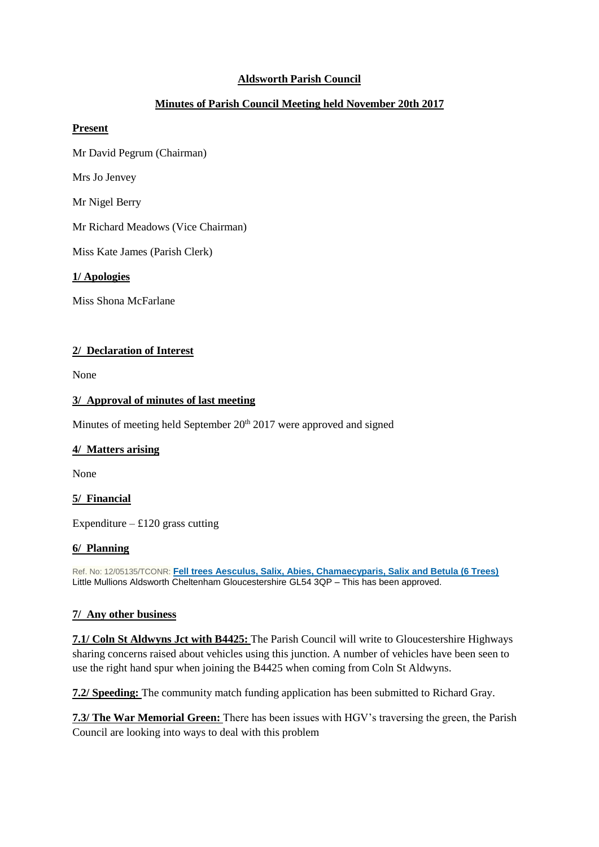# **Aldsworth Parish Council**

# **Minutes of Parish Council Meeting held November 20th 2017**

#### **Present**

Mr David Pegrum (Chairman)

Mrs Jo Jenvey

Mr Nigel Berry

Mr Richard Meadows (Vice Chairman)

Miss Kate James (Parish Clerk)

**1/ Apologies**

Miss Shona McFarlane

### **2/ Declaration of Interest**

None

#### **3/ Approval of minutes of last meeting**

Minutes of meeting held September 20<sup>th</sup> 2017 were approved and signed

### **4/ Matters arising**

None

### **5/ Financial**

Expenditure –  $£120$  grass cutting

### **6/ Planning**

Ref. No: 12/05135/TCONR: **[Fell trees Aesculus, Salix, Abies, Chamaecyparis, Salix and Betula \(6 Trees\)](https://publicaccess.cotswold.gov.uk/online-applications/applicationDetails.do?activeTab=summary&keyVal=MDKXSSFI0AP00)** Little Mullions Aldsworth Cheltenham Gloucestershire GL54 3QP – This has been approved.

### **7/ Any other business**

**7.1/ Coln St Aldwyns Jct with B4425:** The Parish Council will write to Gloucestershire Highways sharing concerns raised about vehicles using this junction. A number of vehicles have been seen to use the right hand spur when joining the B4425 when coming from Coln St Aldwyns.

**7.2/ Speeding:** The community match funding application has been submitted to Richard Gray.

**7.3/ The War Memorial Green:** There has been issues with HGV's traversing the green, the Parish Council are looking into ways to deal with this problem